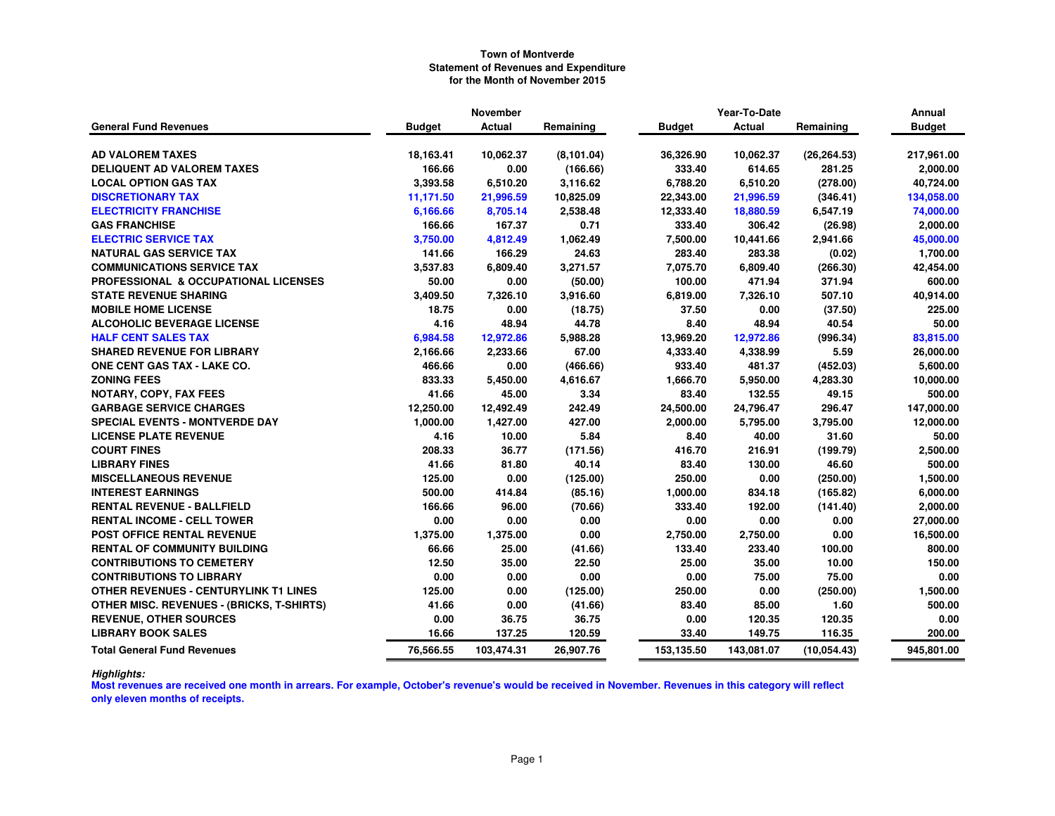|                                                  |               | <b>November</b> |             | Year-To-Date  |            |              | Annual        |
|--------------------------------------------------|---------------|-----------------|-------------|---------------|------------|--------------|---------------|
| <b>General Fund Revenues</b>                     | <b>Budget</b> | Actual          | Remaining   | <b>Budget</b> | Actual     | Remaining    | <b>Budget</b> |
|                                                  |               |                 |             |               |            |              |               |
| <b>AD VALOREM TAXES</b>                          | 18,163.41     | 10,062.37       | (8, 101.04) | 36,326.90     | 10,062.37  | (26, 264.53) | 217,961.00    |
| DELIQUENT AD VALOREM TAXES                       | 166.66        | 0.00            | (166.66)    | 333.40        | 614.65     | 281.25       | 2,000.00      |
| <b>LOCAL OPTION GAS TAX</b>                      | 3,393.58      | 6,510.20        | 3,116.62    | 6,788.20      | 6,510.20   | (278.00)     | 40,724.00     |
| <b>DISCRETIONARY TAX</b>                         | 11,171.50     | 21,996.59       | 10,825.09   | 22,343.00     | 21,996.59  | (346.41)     | 134,058.00    |
| <b>ELECTRICITY FRANCHISE</b>                     | 6,166.66      | 8,705.14        | 2,538.48    | 12,333.40     | 18,880.59  | 6,547.19     | 74,000.00     |
| <b>GAS FRANCHISE</b>                             | 166.66        | 167.37          | 0.71        | 333.40        | 306.42     | (26.98)      | 2,000.00      |
| <b>ELECTRIC SERVICE TAX</b>                      | 3,750.00      | 4,812.49        | 1,062.49    | 7,500.00      | 10,441.66  | 2,941.66     | 45,000.00     |
| <b>NATURAL GAS SERVICE TAX</b>                   | 141.66        | 166.29          | 24.63       | 283.40        | 283.38     | (0.02)       | 1,700.00      |
| <b>COMMUNICATIONS SERVICE TAX</b>                | 3,537.83      | 6,809.40        | 3,271.57    | 7,075.70      | 6,809.40   | (266.30)     | 42,454.00     |
| <b>PROFESSIONAL &amp; OCCUPATIONAL LICENSES</b>  | 50.00         | 0.00            | (50.00)     | 100.00        | 471.94     | 371.94       | 600.00        |
| <b>STATE REVENUE SHARING</b>                     | 3,409.50      | 7,326.10        | 3,916.60    | 6,819.00      | 7,326.10   | 507.10       | 40,914.00     |
| <b>MOBILE HOME LICENSE</b>                       | 18.75         | 0.00            | (18.75)     | 37.50         | 0.00       | (37.50)      | 225.00        |
| <b>ALCOHOLIC BEVERAGE LICENSE</b>                | 4.16          | 48.94           | 44.78       | 8.40          | 48.94      | 40.54        | 50.00         |
| <b>HALF CENT SALES TAX</b>                       | 6,984.58      | 12,972.86       | 5,988.28    | 13,969.20     | 12,972.86  | (996.34)     | 83,815.00     |
| <b>SHARED REVENUE FOR LIBRARY</b>                | 2,166.66      | 2,233.66        | 67.00       | 4,333.40      | 4,338.99   | 5.59         | 26,000.00     |
| <b>ONE CENT GAS TAX - LAKE CO.</b>               | 466.66        | 0.00            | (466.66)    | 933.40        | 481.37     | (452.03)     | 5,600.00      |
| <b>ZONING FEES</b>                               | 833.33        | 5,450.00        | 4,616.67    | 1,666.70      | 5,950.00   | 4,283.30     | 10,000.00     |
| <b>NOTARY, COPY, FAX FEES</b>                    | 41.66         | 45.00           | 3.34        | 83.40         | 132.55     | 49.15        | 500.00        |
| <b>GARBAGE SERVICE CHARGES</b>                   | 12,250.00     | 12,492.49       | 242.49      | 24,500.00     | 24,796.47  | 296.47       | 147,000.00    |
| <b>SPECIAL EVENTS - MONTVERDE DAY</b>            | 1,000.00      | 1,427.00        | 427.00      | 2,000.00      | 5,795.00   | 3,795.00     | 12,000.00     |
| <b>LICENSE PLATE REVENUE</b>                     | 4.16          | 10.00           | 5.84        | 8.40          | 40.00      | 31.60        | 50.00         |
| <b>COURT FINES</b>                               | 208.33        | 36.77           | (171.56)    | 416.70        | 216.91     | (199.79)     | 2,500.00      |
| <b>LIBRARY FINES</b>                             | 41.66         | 81.80           | 40.14       | 83.40         | 130.00     | 46.60        | 500.00        |
| <b>MISCELLANEOUS REVENUE</b>                     | 125.00        | 0.00            | (125.00)    | 250.00        | 0.00       | (250.00)     | 1,500.00      |
| <b>INTEREST EARNINGS</b>                         | 500.00        | 414.84          | (85.16)     | 1,000.00      | 834.18     | (165.82)     | 6,000.00      |
| <b>RENTAL REVENUE - BALLFIELD</b>                | 166.66        | 96.00           | (70.66)     | 333.40        | 192.00     | (141.40)     | 2,000.00      |
| <b>RENTAL INCOME - CELL TOWER</b>                | 0.00          | 0.00            | 0.00        | 0.00          | 0.00       | 0.00         | 27,000.00     |
| <b>POST OFFICE RENTAL REVENUE</b>                | 1,375.00      | 1,375.00        | 0.00        | 2,750.00      | 2,750.00   | 0.00         | 16,500.00     |
| <b>RENTAL OF COMMUNITY BUILDING</b>              | 66.66         | 25.00           | (41.66)     | 133.40        | 233.40     | 100.00       | 800.00        |
| <b>CONTRIBUTIONS TO CEMETERY</b>                 | 12.50         | 35.00           | 22.50       | 25.00         | 35.00      | 10.00        | 150.00        |
| <b>CONTRIBUTIONS TO LIBRARY</b>                  | 0.00          | 0.00            | 0.00        | 0.00          | 75.00      | 75.00        | 0.00          |
| OTHER REVENUES - CENTURYLINK T1 LINES            | 125.00        | 0.00            | (125.00)    | 250.00        | 0.00       | (250.00)     | 1,500.00      |
| <b>OTHER MISC. REVENUES - (BRICKS, T-SHIRTS)</b> | 41.66         | 0.00            | (41.66)     | 83.40         | 85.00      | 1.60         | 500.00        |
| <b>REVENUE, OTHER SOURCES</b>                    | 0.00          | 36.75           | 36.75       | 0.00          | 120.35     | 120.35       | 0.00          |
| <b>LIBRARY BOOK SALES</b>                        | 16.66         | 137.25          | 120.59      | 33.40         | 149.75     | 116.35       | 200.00        |
| <b>Total General Fund Revenues</b>               | 76,566.55     | 103,474.31      | 26,907.76   | 153,135.50    | 143,081.07 | (10, 054.43) | 945,801.00    |

*Highlights:*

 **Most revenues are received one month in arrears. For example, October's revenue's would be received in November. Revenues in this category will reflect only eleven months of receipts.**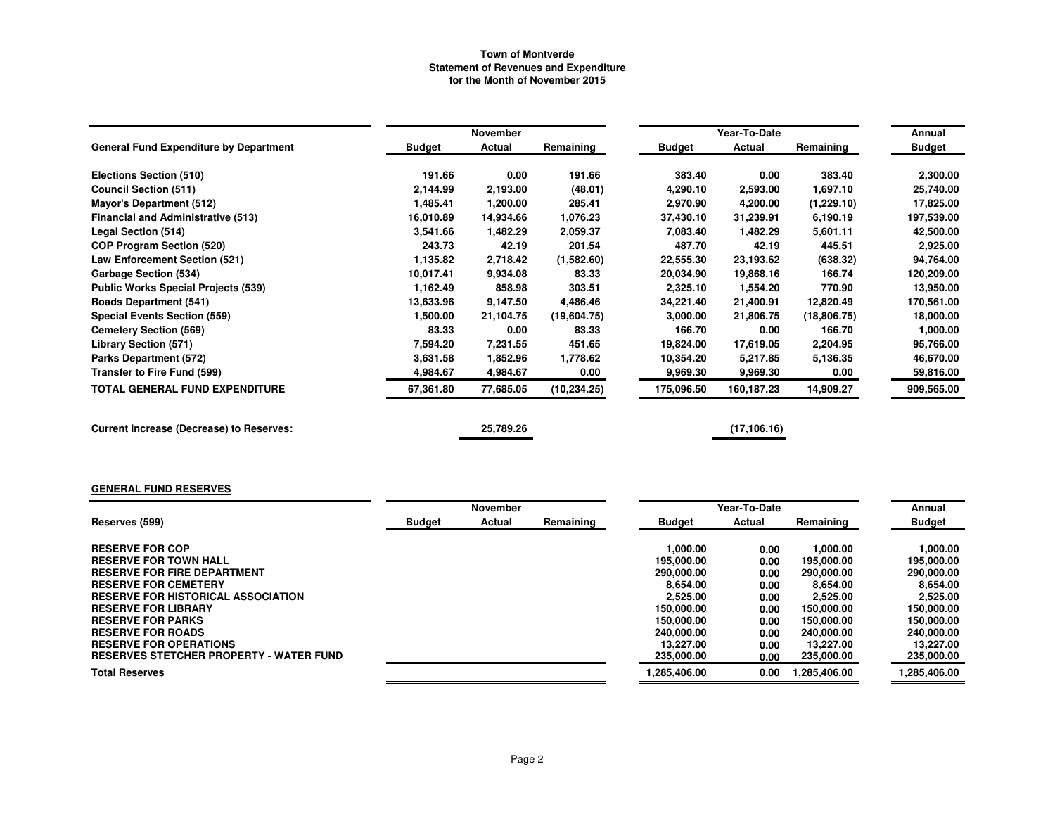|                                                 |               | November  |              |               | Annual       |              |               |
|-------------------------------------------------|---------------|-----------|--------------|---------------|--------------|--------------|---------------|
| <b>General Fund Expenditure by Department</b>   | <b>Budget</b> | Actual    | Remaining    | <b>Budget</b> | Actual       | Remaining    | <b>Budget</b> |
| Elections Section (510)                         | 191.66        | 0.00      | 191.66       | 383.40        | 0.00         | 383.40       | 2,300.00      |
| <b>Council Section (511)</b>                    | 2,144.99      | 2,193.00  | (48.01)      | 4,290.10      | 2,593.00     | 1,697.10     | 25,740.00     |
| <b>Mayor's Department (512)</b>                 | 1,485.41      | 1,200.00  | 285.41       | 2,970.90      | 4,200.00     | (1,229.10)   | 17,825.00     |
| <b>Financial and Administrative (513)</b>       | 16,010.89     | 14,934.66 | 1.076.23     | 37,430.10     | 31,239.91    | 6,190.19     | 197,539.00    |
| Legal Section (514)                             | 3,541.66      | 1,482.29  | 2,059.37     | 7,083.40      | 1,482.29     | 5,601.11     | 42,500.00     |
| <b>COP Program Section (520)</b>                | 243.73        | 42.19     | 201.54       | 487.70        | 42.19        | 445.51       | 2,925.00      |
| <b>Law Enforcement Section (521)</b>            | 1,135.82      | 2,718.42  | (1,582.60)   | 22,555.30     | 23,193.62    | (638.32)     | 94,764.00     |
| <b>Garbage Section (534)</b>                    | 10,017.41     | 9,934.08  | 83.33        | 20,034.90     | 19,868.16    | 166.74       | 120,209.00    |
| <b>Public Works Special Projects (539)</b>      | 1,162.49      | 858.98    | 303.51       | 2,325.10      | 1,554.20     | 770.90       | 13,950.00     |
| <b>Roads Department (541)</b>                   | 13,633.96     | 9,147.50  | 4,486.46     | 34,221.40     | 21,400.91    | 12,820.49    | 170,561.00    |
| <b>Special Events Section (559)</b>             | 1,500.00      | 21,104.75 | (19,604.75)  | 3,000.00      | 21,806.75    | (18, 806.75) | 18,000.00     |
| <b>Cemetery Section (569)</b>                   | 83.33         | 0.00      | 83.33        | 166.70        | 0.00         | 166.70       | 1,000.00      |
| <b>Library Section (571)</b>                    | 7,594.20      | 7,231.55  | 451.65       | 19,824.00     | 17,619.05    | 2,204.95     | 95,766.00     |
| <b>Parks Department (572)</b>                   | 3,631.58      | 1,852.96  | 1,778.62     | 10,354.20     | 5,217.85     | 5,136.35     | 46,670.00     |
| Transfer to Fire Fund (599)                     | 4,984.67      | 4,984.67  | 0.00         | 9,969.30      | 9,969.30     | 0.00         | 59,816.00     |
| <b>TOTAL GENERAL FUND EXPENDITURE</b>           | 67,361.80     | 77,685.05 | (10, 234.25) | 175,096.50    | 160,187.23   | 14,909.27    | 909,565.00    |
| <b>Current Increase (Decrease) to Reserves:</b> |               | 25,789.26 |              |               | (17, 106.16) |              |               |

# **GENERAL FUND RESERVES**

|                                           |               | November |           | Year-To-Date  |        |             | Annual        |
|-------------------------------------------|---------------|----------|-----------|---------------|--------|-------------|---------------|
| Reserves (599)                            | <b>Budget</b> | Actual   | Remaining | <b>Budget</b> | Actual | Remaining   | <b>Budget</b> |
|                                           |               |          |           |               |        |             |               |
| <b>RESERVE FOR COP</b>                    |               |          |           | 1,000.00      | 0.00   | 1,000.00    | 1,000.00      |
| <b>RESERVE FOR TOWN HALL</b>              |               |          |           | 195,000.00    | 0.00   | 195,000.00  | 195,000.00    |
| <b>RESERVE FOR FIRE DEPARTMENT</b>        |               |          |           | 290,000,00    | 0.00   | 290,000,00  | 290,000,00    |
| <b>RESERVE FOR CEMETERY</b>               |               |          |           | 8.654.00      | 0.00   | 8.654.00    | 8.654.00      |
| <b>RESERVE FOR HISTORICAL ASSOCIATION</b> |               |          |           | 2,525.00      | 0.00   | 2,525.00    | 2,525.00      |
| <b>RESERVE FOR LIBRARY</b>                |               |          |           | 150.000.00    | 0.00   | 150,000.00  | 150,000,00    |
| <b>RESERVE FOR PARKS</b>                  |               |          |           | 150.000.00    | 0.00   | 150,000,00  | 150,000.00    |
| <b>RESERVE FOR ROADS</b>                  |               |          |           | 240,000,00    | 0.00   | 240,000,00  | 240,000,00    |
| <b>RESERVE FOR OPERATIONS</b>             |               |          |           | 13.227.00     | 0.00   | 13.227.00   | 13.227.00     |
| RESERVES STETCHER PROPERTY - WATER FUND   |               |          |           | 235,000.00    | 0.00   | 235,000.00  | 235,000.00    |
| <b>Total Reserves</b>                     |               |          |           | 1.285.406.00  | 0.00   | .285,406.00 | 1,285,406.00  |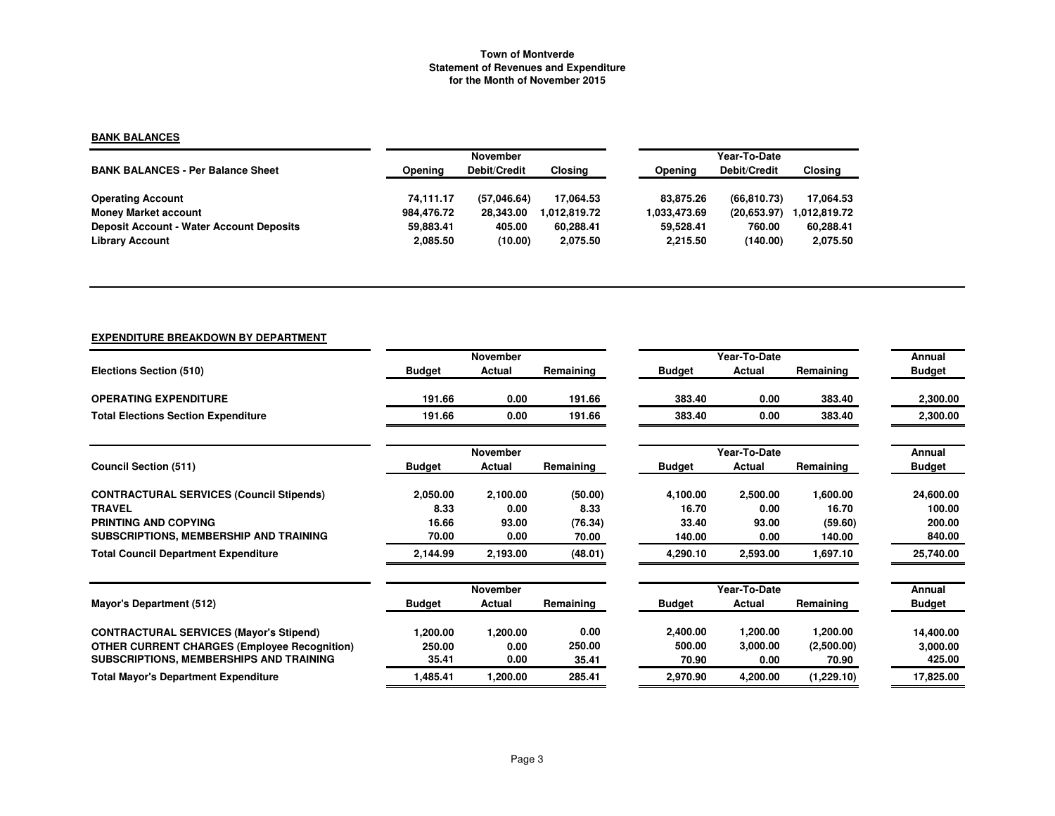### **BANK BALANCES**

|                                                 |            | <b>November</b>     |              | Year-To-Date |              |                |  |
|-------------------------------------------------|------------|---------------------|--------------|--------------|--------------|----------------|--|
| <b>BANK BALANCES - Per Balance Sheet</b>        | Opening    | <b>Debit/Credit</b> | Closina      | Opening      | Debit/Credit | <b>Closing</b> |  |
|                                                 |            |                     |              |              |              |                |  |
| <b>Operating Account</b>                        | 74.111.17  | (57.046.64)         | 17.064.53    | 83.875.26    | (66.810.73)  | 17.064.53      |  |
| <b>Money Market account</b>                     | 984.476.72 | 28.343.00           | 1.012.819.72 | 1.033.473.69 | (20.653.97)  | 1.012.819.72   |  |
| <b>Deposit Account - Water Account Deposits</b> | 59.883.41  | 405.00              | 60.288.41    | 59.528.41    | 760.00       | 60,288.41      |  |
| <b>Library Account</b>                          | 2,085.50   | (10.00)             | 2,075.50     | 2.215.50     | (140.00)     | 2,075.50       |  |

# **EXPENDITURE BREAKDOWN BY DEPARTMENT**

|                                                     |               | <b>November</b> |           |               | Year-To-Date |            | Annual        |
|-----------------------------------------------------|---------------|-----------------|-----------|---------------|--------------|------------|---------------|
| Elections Section (510)                             | <b>Budget</b> | Actual          | Remaining | <b>Budget</b> | Actual       | Remaining  | <b>Budget</b> |
| <b>OPERATING EXPENDITURE</b>                        | 191.66        | 0.00            | 191.66    | 383.40        | 0.00         | 383.40     | 2,300.00      |
| <b>Total Elections Section Expenditure</b>          | 191.66        | 0.00            | 191.66    | 383.40        | 0.00         | 383.40     | 2,300.00      |
|                                                     |               | November        |           |               | Year-To-Date |            | Annual        |
| <b>Council Section (511)</b>                        | <b>Budget</b> | Actual          | Remaining | <b>Budget</b> | Actual       | Remaining  | <b>Budget</b> |
| <b>CONTRACTURAL SERVICES (Council Stipends)</b>     | 2,050.00      | 2,100.00        | (50.00)   | 4,100.00      | 2,500.00     | 1,600.00   | 24,600.00     |
| <b>TRAVEL</b>                                       | 8.33          | 0.00            | 8.33      | 16.70         | 0.00         | 16.70      | 100.00        |
| PRINTING AND COPYING                                | 16.66         | 93.00           | (76.34)   | 33.40         | 93.00        | (59.60)    | 200.00        |
| SUBSCRIPTIONS, MEMBERSHIP AND TRAINING              | 70.00         | 0.00            | 70.00     | 140.00        | 0.00         | 140.00     | 840.00        |
| <b>Total Council Department Expenditure</b>         | 2,144.99      | 2,193.00        | (48.01)   | 4,290.10      | 2,593.00     | 1,697.10   | 25,740.00     |
|                                                     |               | November        |           |               | Year-To-Date |            | Annual        |
| Mayor's Department (512)                            | <b>Budget</b> | Actual          | Remaining | <b>Budget</b> | Actual       | Remaining  | <b>Budget</b> |
| <b>CONTRACTURAL SERVICES (Mayor's Stipend)</b>      | 1,200.00      | 1,200.00        | 0.00      | 2,400.00      | 1,200.00     | 1,200.00   | 14,400.00     |
| <b>OTHER CURRENT CHARGES (Employee Recognition)</b> | 250.00        | 0.00            | 250.00    | 500.00        | 3,000.00     | (2,500.00) | 3,000.00      |
| SUBSCRIPTIONS, MEMBERSHIPS AND TRAINING             | 35.41         | 0.00            | 35.41     | 70.90         | 0.00         | 70.90      | 425.00        |
| <b>Total Mayor's Department Expenditure</b>         | 1,485.41      | 1,200.00        | 285.41    | 2,970.90      | 4,200.00     | (1,229.10) | 17,825.00     |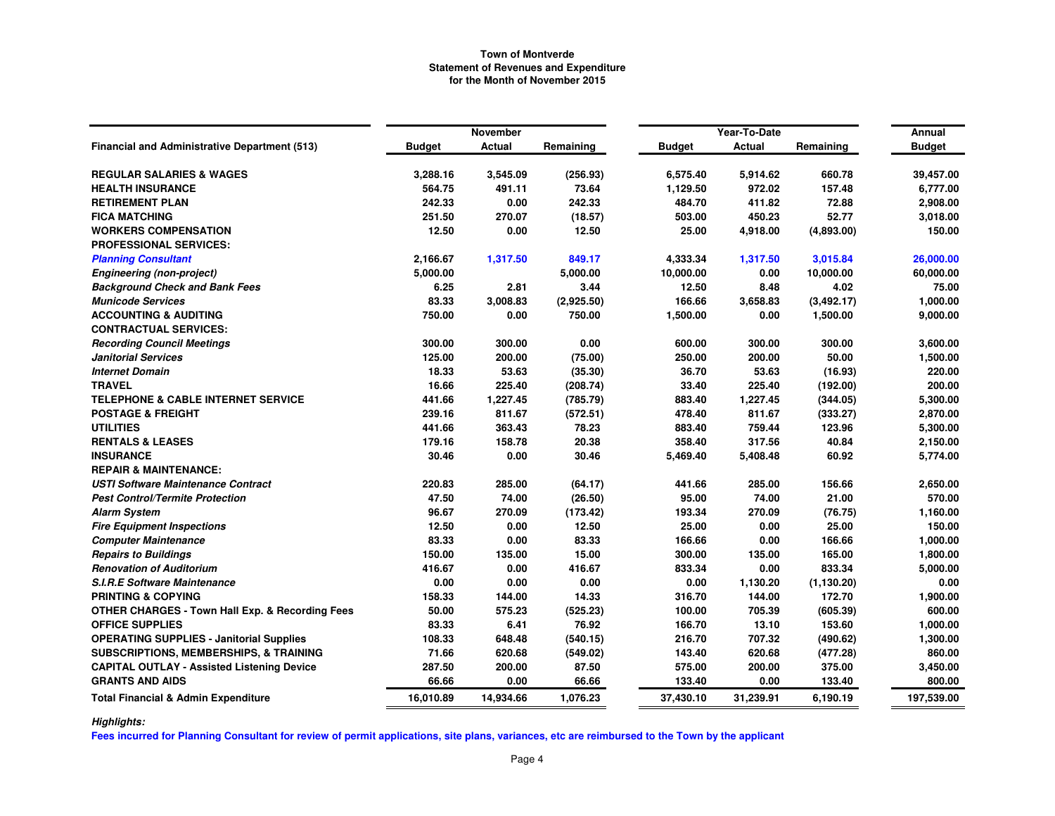|                                                            |               | November  |            |               | Year-To-Date |             | Annual        |
|------------------------------------------------------------|---------------|-----------|------------|---------------|--------------|-------------|---------------|
| <b>Financial and Administrative Department (513)</b>       | <b>Budget</b> | Actual    | Remaining  | <b>Budget</b> | Actual       | Remaining   | <b>Budget</b> |
| <b>REGULAR SALARIES &amp; WAGES</b>                        | 3,288.16      | 3,545.09  | (256.93)   | 6,575.40      | 5,914.62     | 660.78      | 39,457.00     |
| <b>HEALTH INSURANCE</b>                                    | 564.75        | 491.11    | 73.64      | 1,129.50      | 972.02       | 157.48      | 6,777.00      |
| <b>RETIREMENT PLAN</b>                                     | 242.33        | 0.00      | 242.33     | 484.70        | 411.82       | 72.88       | 2,908.00      |
| <b>FICA MATCHING</b>                                       | 251.50        | 270.07    | (18.57)    | 503.00        | 450.23       | 52.77       | 3,018.00      |
| <b>WORKERS COMPENSATION</b>                                | 12.50         | 0.00      | 12.50      | 25.00         | 4,918.00     | (4,893.00)  | 150.00        |
| <b>PROFESSIONAL SERVICES:</b>                              |               |           |            |               |              |             |               |
| <b>Planning Consultant</b>                                 | 2,166.67      | 1,317.50  | 849.17     | 4,333.34      | 1,317.50     | 3,015.84    | 26,000.00     |
| <b>Engineering (non-project)</b>                           | 5,000.00      |           | 5,000.00   | 10,000.00     | 0.00         | 10,000.00   | 60,000.00     |
| <b>Background Check and Bank Fees</b>                      | 6.25          | 2.81      | 3.44       | 12.50         | 8.48         | 4.02        | 75.00         |
| <b>Municode Services</b>                                   | 83.33         | 3,008.83  | (2,925.50) | 166.66        | 3,658.83     | (3, 492.17) | 1,000.00      |
| <b>ACCOUNTING &amp; AUDITING</b>                           | 750.00        | 0.00      | 750.00     | 1,500.00      | 0.00         | 1,500.00    | 9,000.00      |
| <b>CONTRACTUAL SERVICES:</b>                               |               |           |            |               |              |             |               |
| <b>Recording Council Meetings</b>                          | 300.00        | 300.00    | 0.00       | 600.00        | 300.00       | 300.00      | 3,600.00      |
| <b>Janitorial Services</b>                                 | 125.00        | 200.00    | (75.00)    | 250.00        | 200.00       | 50.00       | 1,500.00      |
| <b>Internet Domain</b>                                     | 18.33         | 53.63     | (35.30)    | 36.70         | 53.63        | (16.93)     | 220.00        |
| <b>TRAVEL</b>                                              | 16.66         | 225.40    | (208.74)   | 33.40         | 225.40       | (192.00)    | 200.00        |
| <b>TELEPHONE &amp; CABLE INTERNET SERVICE</b>              | 441.66        | 1,227.45  | (785.79)   | 883.40        | 1,227.45     | (344.05)    | 5,300.00      |
| <b>POSTAGE &amp; FREIGHT</b>                               | 239.16        | 811.67    | (572.51)   | 478.40        | 811.67       | (333.27)    | 2,870.00      |
| <b>UTILITIES</b>                                           | 441.66        | 363.43    | 78.23      | 883.40        | 759.44       | 123.96      | 5,300.00      |
| <b>RENTALS &amp; LEASES</b>                                | 179.16        | 158.78    | 20.38      | 358.40        | 317.56       | 40.84       | 2,150.00      |
| <b>INSURANCE</b>                                           | 30.46         | 0.00      | 30.46      | 5,469.40      | 5,408.48     | 60.92       | 5,774.00      |
| <b>REPAIR &amp; MAINTENANCE:</b>                           |               |           |            |               |              |             |               |
| <b>USTI Software Maintenance Contract</b>                  | 220.83        | 285.00    | (64.17)    | 441.66        | 285.00       | 156.66      | 2,650.00      |
| <b>Pest Control/Termite Protection</b>                     | 47.50         | 74.00     | (26.50)    | 95.00         | 74.00        | 21.00       | 570.00        |
| <b>Alarm System</b>                                        | 96.67         | 270.09    | (173.42)   | 193.34        | 270.09       | (76.75)     | 1,160.00      |
| <b>Fire Equipment Inspections</b>                          | 12.50         | 0.00      | 12.50      | 25.00         | 0.00         | 25.00       | 150.00        |
| <b>Computer Maintenance</b>                                | 83.33         | 0.00      | 83.33      | 166.66        | 0.00         | 166.66      | 1,000.00      |
| <b>Repairs to Buildings</b>                                | 150.00        | 135.00    | 15.00      | 300.00        | 135.00       | 165.00      | 1,800.00      |
| <b>Renovation of Auditorium</b>                            | 416.67        | 0.00      | 416.67     | 833.34        | 0.00         | 833.34      | 5,000.00      |
| <b>S.I.R.E Software Maintenance</b>                        | 0.00          | 0.00      | 0.00       | 0.00          | 1,130.20     | (1, 130.20) | 0.00          |
| <b>PRINTING &amp; COPYING</b>                              | 158.33        | 144.00    | 14.33      | 316.70        | 144.00       | 172.70      | 1,900.00      |
| <b>OTHER CHARGES - Town Hall Exp. &amp; Recording Fees</b> | 50.00         | 575.23    | (525.23)   | 100.00        | 705.39       | (605.39)    | 600.00        |
| <b>OFFICE SUPPLIES</b>                                     | 83.33         | 6.41      | 76.92      | 166.70        | 13.10        | 153.60      | 1,000.00      |
| <b>OPERATING SUPPLIES - Janitorial Supplies</b>            | 108.33        | 648.48    | (540.15)   | 216.70        | 707.32       | (490.62)    | 1,300.00      |
| <b>SUBSCRIPTIONS, MEMBERSHIPS, &amp; TRAINING</b>          | 71.66         | 620.68    | (549.02)   | 143.40        | 620.68       | (477.28)    | 860.00        |
| <b>CAPITAL OUTLAY - Assisted Listening Device</b>          | 287.50        | 200.00    | 87.50      | 575.00        | 200.00       | 375.00      | 3,450.00      |
| <b>GRANTS AND AIDS</b>                                     | 66.66         | 0.00      | 66.66      | 133.40        | 0.00         | 133.40      | 800.00        |
| <b>Total Financial &amp; Admin Expenditure</b>             | 16,010.89     | 14,934.66 | 1,076.23   | 37,430.10     | 31,239.91    | 6,190.19    | 197,539.00    |

*Highlights:*

**Fees incurred for Planning Consultant for review of permit applications, site plans, variances, etc are reimbursed to the Town by the applicant**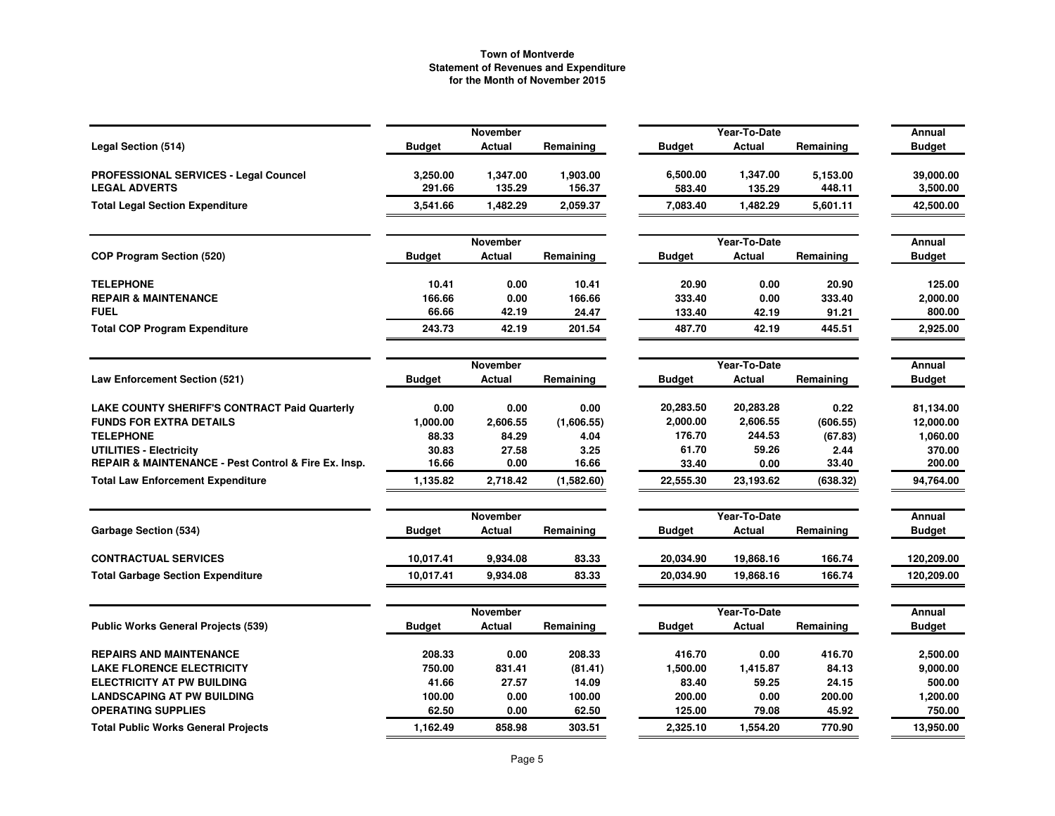|                                                      |               | <b>November</b>    |            |               | Year-To-Date                  |           | Annual                  |
|------------------------------------------------------|---------------|--------------------|------------|---------------|-------------------------------|-----------|-------------------------|
| <b>Legal Section (514)</b>                           | <b>Budget</b> | Actual             | Remaining  | <b>Budget</b> | Actual                        | Remaining | <b>Budget</b>           |
| PROFESSIONAL SERVICES - Legal Councel                | 3,250.00      | 1,347.00           | 1,903.00   | 6,500.00      | 1,347.00                      | 5,153.00  | 39,000.00               |
| <b>LEGAL ADVERTS</b>                                 | 291.66        | 135.29             | 156.37     | 583.40        | 135.29                        | 448.11    | 3,500.00                |
| <b>Total Legal Section Expenditure</b>               | 3,541.66      | 1,482.29           | 2,059.37   | 7,083.40      | 1,482.29                      | 5,601.11  | 42,500.00               |
|                                                      |               | <b>November</b>    |            |               | Year-To-Date                  |           | Annual                  |
| <b>COP Program Section (520)</b>                     | <b>Budget</b> | Actual             | Remaining  | <b>Budget</b> | Actual                        | Remaining | <b>Budget</b>           |
| <b>TELEPHONE</b>                                     | 10.41         | 0.00               | 10.41      | 20.90         | 0.00                          | 20.90     | 125.00                  |
| <b>REPAIR &amp; MAINTENANCE</b>                      | 166.66        | 0.00               | 166.66     | 333.40        | 0.00                          | 333.40    | 2,000.00                |
| <b>FUEL</b>                                          | 66.66         | 42.19              | 24.47      | 133.40        | 42.19                         | 91.21     | 800.00                  |
| <b>Total COP Program Expenditure</b>                 | 243.73        | 42.19              | 201.54     | 487.70        | 42.19                         | 445.51    | 2,925.00                |
|                                                      |               | November           |            |               | Year-To-Date                  |           | Annual                  |
| Law Enforcement Section (521)                        | <b>Budget</b> | Actual             | Remaining  | <b>Budget</b> | Actual                        | Remaining | <b>Budget</b>           |
| <b>LAKE COUNTY SHERIFF'S CONTRACT Paid Quarterly</b> | 0.00          | 0.00               | 0.00       | 20,283.50     | 20,283.28                     | 0.22      | 81,134.00               |
| <b>FUNDS FOR EXTRA DETAILS</b>                       | 1,000.00      | 2,606.55           | (1,606.55) | 2,000.00      | 2,606.55                      | (606.55)  | 12,000.00               |
| <b>TELEPHONE</b>                                     | 88.33         | 84.29              | 4.04       | 176.70        | 244.53                        | (67.83)   | 1,060.00                |
| <b>UTILITIES - Electricity</b>                       | 30.83         | 27.58              | 3.25       | 61.70         | 59.26                         | 2.44      | 370.00                  |
| REPAIR & MAINTENANCE - Pest Control & Fire Ex. Insp. | 16.66         | 0.00               | 16.66      | 33.40         | 0.00                          | 33.40     | 200.00                  |
| <b>Total Law Enforcement Expenditure</b>             | 1,135.82      | 2,718.42           | (1,582.60) | 22,555.30     | 23,193.62                     | (638.32)  | 94,764.00               |
|                                                      |               | <b>November</b>    |            |               | Year-To-Date                  |           | Annual                  |
| <b>Garbage Section (534)</b>                         | <b>Budget</b> | Actual             | Remaining  | <b>Budget</b> | Actual                        | Remaining | <b>Budget</b>           |
| <b>CONTRACTUAL SERVICES</b>                          | 10,017.41     | 9,934.08           | 83.33      | 20,034.90     | 19,868.16                     | 166.74    | 120,209.00              |
| <b>Total Garbage Section Expenditure</b>             | 10,017.41     | 9,934.08           | 83.33      | 20,034.90     | 19,868.16                     | 166.74    | 120,209.00              |
|                                                      |               |                    |            |               |                               |           |                         |
| <b>Public Works General Projects (539)</b>           | <b>Budget</b> | November<br>Actual | Remaining  | Budget        | Year-To-Date<br><b>Actual</b> | Remaining | Annual<br><b>Budget</b> |
| <b>REPAIRS AND MAINTENANCE</b>                       | 208.33        | 0.00               | 208.33     | 416.70        | 0.00                          | 416.70    | 2,500.00                |
| <b>LAKE FLORENCE ELECTRICITY</b>                     | 750.00        | 831.41             | (81.41)    | 1,500.00      | 1,415.87                      | 84.13     | 9,000.00                |
| <b>ELECTRICITY AT PW BUILDING</b>                    | 41.66         | 27.57              | 14.09      | 83.40         | 59.25                         | 24.15     | 500.00                  |
| <b>LANDSCAPING AT PW BUILDING</b>                    | 100.00        | 0.00               | 100.00     | 200.00        | 0.00                          | 200.00    | 1,200.00                |
| <b>OPERATING SUPPLIES</b>                            | 62.50         | 0.00               | 62.50      | 125.00        | 79.08                         | 45.92     | 750.00                  |
| <b>Total Public Works General Projects</b>           | 1,162.49      | 858.98             | 303.51     | 2,325.10      | 1,554.20                      | 770.90    | 13,950.00               |
|                                                      |               |                    |            |               |                               |           |                         |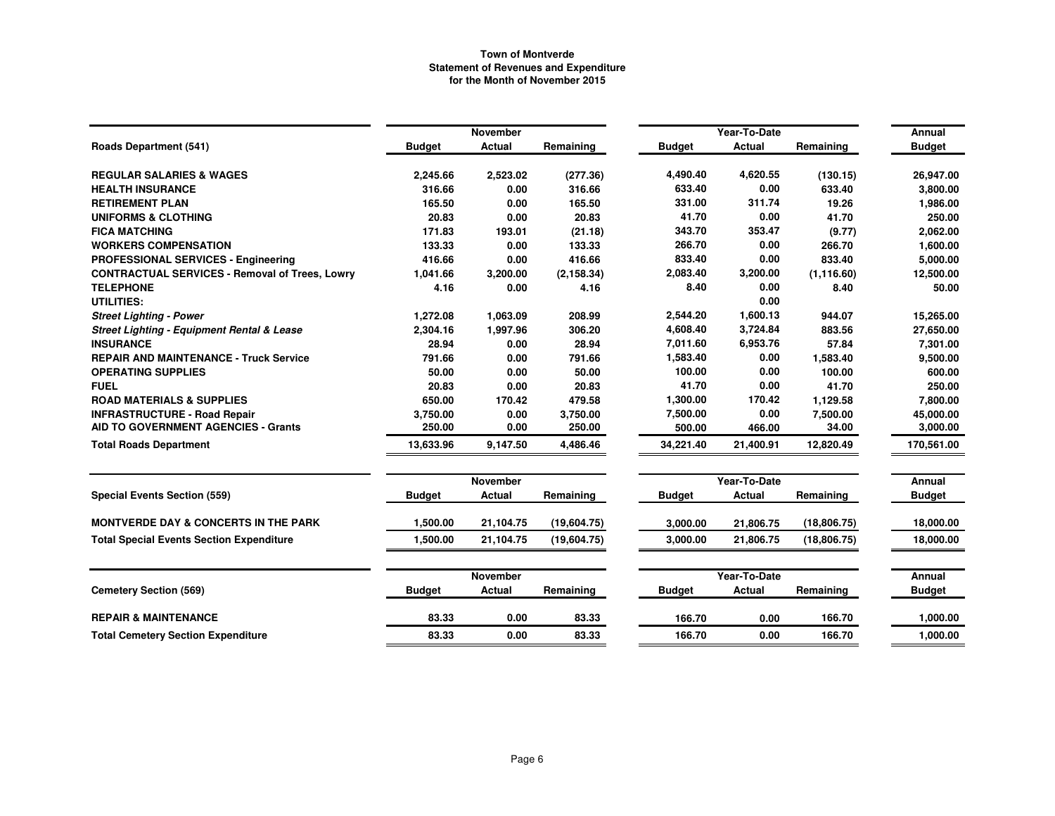|                                                       |               | <b>November</b> |             |               | Year-To-Date  |              |                         |  |
|-------------------------------------------------------|---------------|-----------------|-------------|---------------|---------------|--------------|-------------------------|--|
| <b>Roads Department (541)</b>                         | <b>Budget</b> | Actual          | Remaining   | <b>Budget</b> | Actual        | Remaining    | Annual<br><b>Budget</b> |  |
| <b>REGULAR SALARIES &amp; WAGES</b>                   | 2,245.66      | 2,523.02        | (277.36)    | 4,490.40      | 4,620.55      | (130.15)     | 26,947.00               |  |
| <b>HEALTH INSURANCE</b>                               | 316.66        | 0.00            | 316.66      | 633.40        | 0.00          | 633.40       | 3,800.00                |  |
| <b>RETIREMENT PLAN</b>                                | 165.50        | 0.00            | 165.50      | 331.00        | 311.74        | 19.26        | 1,986.00                |  |
| <b>UNIFORMS &amp; CLOTHING</b>                        | 20.83         | 0.00            | 20.83       | 41.70         | 0.00          | 41.70        | 250.00                  |  |
| <b>FICA MATCHING</b>                                  | 171.83        | 193.01          | (21.18)     | 343.70        | 353.47        | (9.77)       | 2,062.00                |  |
| <b>WORKERS COMPENSATION</b>                           | 133.33        | 0.00            | 133.33      | 266.70        | 0.00          | 266.70       | 1,600.00                |  |
| PROFESSIONAL SERVICES - Engineering                   | 416.66        | 0.00            | 416.66      | 833.40        | 0.00          | 833.40       | 5,000.00                |  |
| <b>CONTRACTUAL SERVICES - Removal of Trees, Lowry</b> | 1,041.66      | 3,200.00        | (2, 158.34) | 2,083.40      | 3,200.00      | (1, 116.60)  | 12,500.00               |  |
| <b>TELEPHONE</b>                                      | 4.16          | 0.00            | 4.16        | 8.40          | 0.00          | 8.40         | 50.00                   |  |
| UTILITIES:                                            |               |                 |             |               | 0.00          |              |                         |  |
| <b>Street Lighting - Power</b>                        | 1,272.08      | 1,063.09        | 208.99      | 2,544.20      | 1,600.13      | 944.07       | 15,265.00               |  |
| <b>Street Lighting - Equipment Rental &amp; Lease</b> | 2,304.16      | 1,997.96        | 306.20      | 4,608.40      | 3,724.84      | 883.56       | 27,650.00               |  |
| <b>INSURANCE</b>                                      | 28.94         | 0.00            | 28.94       | 7,011.60      | 6,953.76      | 57.84        | 7,301.00                |  |
| <b>REPAIR AND MAINTENANCE - Truck Service</b>         | 791.66        | 0.00            | 791.66      | 1,583.40      | 0.00          | 1,583.40     | 9,500.00                |  |
| <b>OPERATING SUPPLIES</b>                             | 50.00         | 0.00            | 50.00       | 100.00        | 0.00          | 100.00       | 600.00                  |  |
| <b>FUEL</b>                                           | 20.83         | 0.00            | 20.83       | 41.70         | 0.00          | 41.70        | 250.00                  |  |
| <b>ROAD MATERIALS &amp; SUPPLIES</b>                  | 650.00        | 170.42          | 479.58      | 1,300.00      | 170.42        | 1,129.58     | 7,800.00                |  |
| <b>INFRASTRUCTURE - Road Repair</b>                   | 3,750.00      | 0.00            | 3,750.00    | 7,500.00      | 0.00          | 7,500.00     | 45,000.00               |  |
| <b>AID TO GOVERNMENT AGENCIES - Grants</b>            | 250.00        | 0.00            | 250.00      | 500.00        | 466.00        | 34.00        | 3,000.00                |  |
| <b>Total Roads Department</b>                         | 13,633.96     | 9,147.50        | 4,486.46    | 34,221.40     | 21,400.91     | 12,820.49    | 170,561.00              |  |
|                                                       |               | <b>November</b> |             |               | Year-To-Date  |              | Annual                  |  |
| <b>Special Events Section (559)</b>                   | <b>Budget</b> | Actual          | Remaining   | <b>Budget</b> | Actual        | Remaining    | <b>Budget</b>           |  |
| <b>MONTVERDE DAY &amp; CONCERTS IN THE PARK</b>       | 1.500.00      | 21,104.75       | (19,604.75) | 3,000.00      | 21,806.75     | (18, 806.75) | 18.000.00               |  |
| <b>Total Special Events Section Expenditure</b>       | 1,500.00      | 21,104.75       | (19,604.75) | 3,000.00      | 21,806.75     | (18, 806.75) | 18,000.00               |  |
|                                                       |               | November        |             |               | Year-To-Date  |              | Annual                  |  |
| <b>Cemetery Section (569)</b>                         | <b>Budget</b> | Actual          | Remaining   | <b>Budget</b> | <b>Actual</b> | Remaining    | <b>Budget</b>           |  |
| <b>REPAIR &amp; MAINTENANCE</b>                       | 83.33         | 0.00            | 83.33       | 166.70        | 0.00          | 166.70       | 1,000.00                |  |
| <b>Total Cemetery Section Expenditure</b>             | 83.33         | 0.00            | 83.33       | 166.70        | 0.00          | 166.70       | 1,000.00                |  |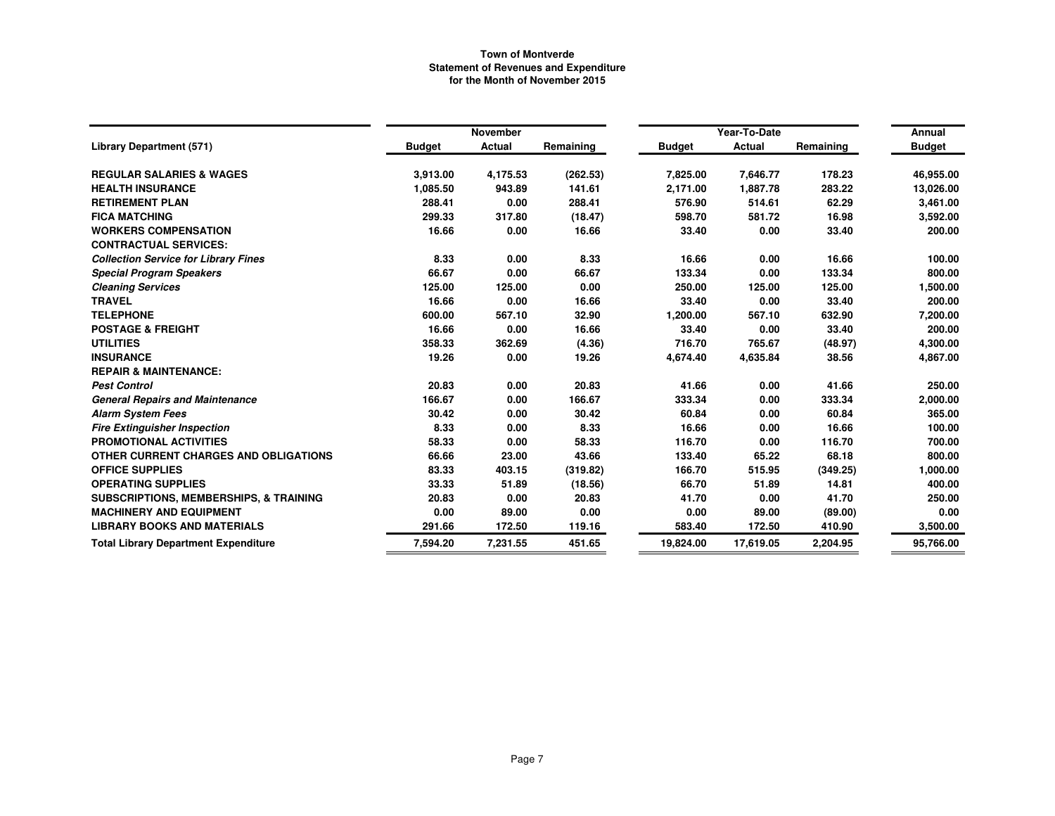|                                                   |               | <b>November</b> |           |               | Year-To-Date  |           | Annual        |
|---------------------------------------------------|---------------|-----------------|-----------|---------------|---------------|-----------|---------------|
| <b>Library Department (571)</b>                   | <b>Budget</b> | <b>Actual</b>   | Remaining | <b>Budget</b> | <b>Actual</b> | Remaining | <b>Budget</b> |
| <b>REGULAR SALARIES &amp; WAGES</b>               | 3,913.00      | 4,175.53        | (262.53)  | 7,825.00      | 7,646.77      | 178.23    | 46,955.00     |
| <b>HEALTH INSURANCE</b>                           | 1,085.50      | 943.89          | 141.61    | 2,171.00      | 1,887.78      | 283.22    | 13,026.00     |
| <b>RETIREMENT PLAN</b>                            | 288.41        | 0.00            | 288.41    | 576.90        | 514.61        | 62.29     | 3,461.00      |
| <b>FICA MATCHING</b>                              | 299.33        | 317.80          | (18.47)   | 598.70        | 581.72        | 16.98     | 3,592.00      |
| <b>WORKERS COMPENSATION</b>                       | 16.66         | 0.00            | 16.66     | 33.40         | 0.00          | 33.40     | 200.00        |
| <b>CONTRACTUAL SERVICES:</b>                      |               |                 |           |               |               |           |               |
| <b>Collection Service for Library Fines</b>       | 8.33          | 0.00            | 8.33      | 16.66         | 0.00          | 16.66     | 100.00        |
| <b>Special Program Speakers</b>                   | 66.67         | 0.00            | 66.67     | 133.34        | 0.00          | 133.34    | 800.00        |
| <b>Cleaning Services</b>                          | 125.00        | 125.00          | 0.00      | 250.00        | 125.00        | 125.00    | 1,500.00      |
| <b>TRAVEL</b>                                     | 16.66         | 0.00            | 16.66     | 33.40         | 0.00          | 33.40     | 200.00        |
| <b>TELEPHONE</b>                                  | 600.00        | 567.10          | 32.90     | 1,200.00      | 567.10        | 632.90    | 7,200.00      |
| <b>POSTAGE &amp; FREIGHT</b>                      | 16.66         | 0.00            | 16.66     | 33.40         | 0.00          | 33.40     | 200.00        |
| <b>UTILITIES</b>                                  | 358.33        | 362.69          | (4.36)    | 716.70        | 765.67        | (48.97)   | 4,300.00      |
| <b>INSURANCE</b>                                  | 19.26         | 0.00            | 19.26     | 4,674.40      | 4,635.84      | 38.56     | 4,867.00      |
| <b>REPAIR &amp; MAINTENANCE:</b>                  |               |                 |           |               |               |           |               |
| <b>Pest Control</b>                               | 20.83         | 0.00            | 20.83     | 41.66         | 0.00          | 41.66     | 250.00        |
| <b>General Repairs and Maintenance</b>            | 166.67        | 0.00            | 166.67    | 333.34        | 0.00          | 333.34    | 2,000.00      |
| <b>Alarm System Fees</b>                          | 30.42         | 0.00            | 30.42     | 60.84         | 0.00          | 60.84     | 365.00        |
| <b>Fire Extinguisher Inspection</b>               | 8.33          | 0.00            | 8.33      | 16.66         | 0.00          | 16.66     | 100.00        |
| <b>PROMOTIONAL ACTIVITIES</b>                     | 58.33         | 0.00            | 58.33     | 116.70        | 0.00          | 116.70    | 700.00        |
| OTHER CURRENT CHARGES AND OBLIGATIONS             | 66.66         | 23.00           | 43.66     | 133.40        | 65.22         | 68.18     | 800.00        |
| <b>OFFICE SUPPLIES</b>                            | 83.33         | 403.15          | (319.82)  | 166.70        | 515.95        | (349.25)  | 1,000.00      |
| <b>OPERATING SUPPLIES</b>                         | 33.33         | 51.89           | (18.56)   | 66.70         | 51.89         | 14.81     | 400.00        |
| <b>SUBSCRIPTIONS, MEMBERSHIPS, &amp; TRAINING</b> | 20.83         | 0.00            | 20.83     | 41.70         | 0.00          | 41.70     | 250.00        |
| <b>MACHINERY AND EQUIPMENT</b>                    | 0.00          | 89.00           | 0.00      | 0.00          | 89.00         | (89.00)   | 0.00          |
| <b>LIBRARY BOOKS AND MATERIALS</b>                | 291.66        | 172.50          | 119.16    | 583.40        | 172.50        | 410.90    | 3,500.00      |
| <b>Total Library Department Expenditure</b>       | 7,594.20      | 7,231.55        | 451.65    | 19,824.00     | 17.619.05     | 2,204.95  | 95,766.00     |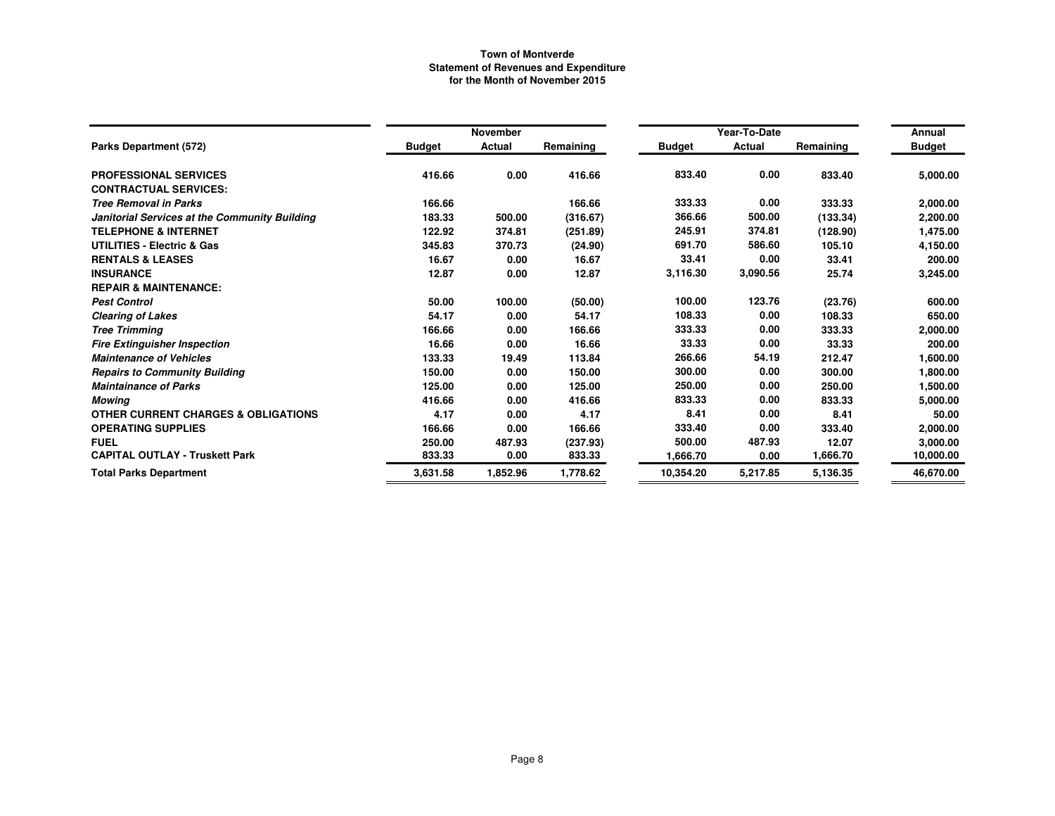|                                                |               | November      |           |               | Year-To-Date |           | Annual        |
|------------------------------------------------|---------------|---------------|-----------|---------------|--------------|-----------|---------------|
| Parks Department (572)                         | <b>Budget</b> | <b>Actual</b> | Remaining | <b>Budget</b> | Actual       | Remaining | <b>Budget</b> |
| <b>PROFESSIONAL SERVICES</b>                   | 416.66        | 0.00          | 416.66    | 833.40        | 0.00         | 833.40    | 5,000.00      |
| <b>CONTRACTUAL SERVICES:</b>                   |               |               |           |               |              |           |               |
| <b>Tree Removal in Parks</b>                   | 166.66        |               | 166.66    | 333.33        | 0.00         | 333.33    | 2,000.00      |
| Janitorial Services at the Community Building  | 183.33        | 500.00        | (316.67)  | 366.66        | 500.00       | (133.34)  | 2,200.00      |
| <b>TELEPHONE &amp; INTERNET</b>                | 122.92        | 374.81        | (251.89)  | 245.91        | 374.81       | (128.90)  | 1,475.00      |
| UTILITIES - Electric & Gas                     | 345.83        | 370.73        | (24.90)   | 691.70        | 586.60       | 105.10    | 4,150.00      |
| <b>RENTALS &amp; LEASES</b>                    | 16.67         | 0.00          | 16.67     | 33.41         | 0.00         | 33.41     | 200.00        |
| <b>INSURANCE</b>                               | 12.87         | 0.00          | 12.87     | 3,116.30      | 3,090.56     | 25.74     | 3,245.00      |
| <b>REPAIR &amp; MAINTENANCE:</b>               |               |               |           |               |              |           |               |
| <b>Pest Control</b>                            | 50.00         | 100.00        | (50.00)   | 100.00        | 123.76       | (23.76)   | 600.00        |
| <b>Clearing of Lakes</b>                       | 54.17         | 0.00          | 54.17     | 108.33        | 0.00         | 108.33    | 650.00        |
| <b>Tree Trimming</b>                           | 166.66        | 0.00          | 166.66    | 333.33        | 0.00         | 333.33    | 2,000.00      |
| <b>Fire Extinguisher Inspection</b>            | 16.66         | 0.00          | 16.66     | 33.33         | 0.00         | 33.33     | 200.00        |
| <b>Maintenance of Vehicles</b>                 | 133.33        | 19.49         | 113.84    | 266.66        | 54.19        | 212.47    | 1,600.00      |
| <b>Repairs to Community Building</b>           | 150.00        | 0.00          | 150.00    | 300.00        | 0.00         | 300.00    | 1,800.00      |
| <b>Maintainance of Parks</b>                   | 125.00        | 0.00          | 125.00    | 250.00        | 0.00         | 250.00    | 1,500.00      |
| Mowing                                         | 416.66        | 0.00          | 416.66    | 833.33        | 0.00         | 833.33    | 5,000.00      |
| <b>OTHER CURRENT CHARGES &amp; OBLIGATIONS</b> | 4.17          | 0.00          | 4.17      | 8.41          | 0.00         | 8.41      | 50.00         |
| <b>OPERATING SUPPLIES</b>                      | 166.66        | 0.00          | 166.66    | 333.40        | 0.00         | 333.40    | 2,000.00      |
| <b>FUEL</b>                                    | 250.00        | 487.93        | (237.93)  | 500.00        | 487.93       | 12.07     | 3,000.00      |
| <b>CAPITAL OUTLAY - Truskett Park</b>          | 833.33        | 0.00          | 833.33    | 1,666.70      | 0.00         | 1,666.70  | 10,000.00     |
| <b>Total Parks Department</b>                  | 3,631.58      | 1,852.96      | 1,778.62  | 10,354.20     | 5,217.85     | 5,136.35  | 46,670.00     |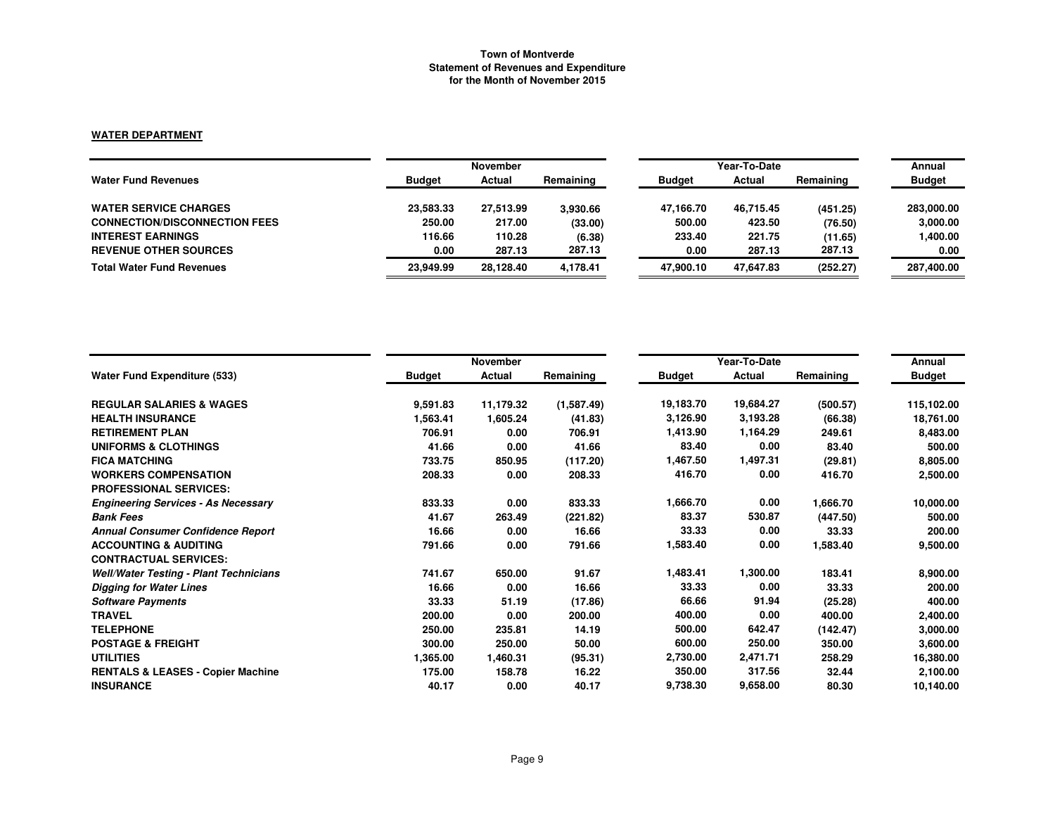# **WATER DEPARTMENT**

|                                      |               | <b>November</b> |           |               | Year-To-Date |           |               |  |
|--------------------------------------|---------------|-----------------|-----------|---------------|--------------|-----------|---------------|--|
| <b>Water Fund Revenues</b>           | <b>Budget</b> | Actual          | Remaining | <b>Budget</b> | Actual       | Remaining | <b>Budget</b> |  |
| <b>WATER SERVICE CHARGES</b>         | 23.583.33     | 27,513.99       | 3.930.66  | 47.166.70     | 46.715.45    | (451.25)  | 283,000,00    |  |
| <b>CONNECTION/DISCONNECTION FEES</b> | 250.00        | 217.00          | (33.00)   | 500.00        | 423.50       | (76.50)   | 3,000.00      |  |
| <b>INTEREST EARNINGS</b>             | 116.66        | 110.28          | (6.38)    | 233.40        | 221.75       | (11.65)   | 1,400.00      |  |
| <b>REVENUE OTHER SOURCES</b>         | 0.00          | 287.13          | 287.13    | 0.00          | 287.13       | 287.13    | 0.00          |  |
| <b>Total Water Fund Revenues</b>     | 23.949.99     | 28.128.40       | 4.178.41  | 47.900.10     | 47.647.83    | (252.27)  | 287,400.00    |  |

|                                               |               | <b>November</b> |            | Year-To-Date  | Annual    |           |               |
|-----------------------------------------------|---------------|-----------------|------------|---------------|-----------|-----------|---------------|
| <b>Water Fund Expenditure (533)</b>           | <b>Budget</b> | Actual          | Remaining  | <b>Budget</b> | Actual    | Remaining | <b>Budget</b> |
| <b>REGULAR SALARIES &amp; WAGES</b>           | 9,591.83      | 11,179.32       | (1,587.49) | 19,183.70     | 19,684.27 | (500.57)  | 115,102.00    |
| <b>HEALTH INSURANCE</b>                       | 1,563.41      | 1,605.24        | (41.83)    | 3,126.90      | 3,193.28  | (66.38)   | 18,761.00     |
| <b>RETIREMENT PLAN</b>                        | 706.91        | 0.00            | 706.91     | 1,413.90      | 1,164.29  | 249.61    | 8,483.00      |
| UNIFORMS & CLOTHINGS                          | 41.66         | 0.00            | 41.66      | 83.40         | 0.00      | 83.40     | 500.00        |
| <b>FICA MATCHING</b>                          | 733.75        | 850.95          | (117.20)   | 1,467.50      | 1,497.31  | (29.81)   | 8,805.00      |
| <b>WORKERS COMPENSATION</b>                   | 208.33        | 0.00            | 208.33     | 416.70        | 0.00      | 416.70    | 2,500.00      |
| <b>PROFESSIONAL SERVICES:</b>                 |               |                 |            |               |           |           |               |
| <b>Engineering Services - As Necessary</b>    | 833.33        | 0.00            | 833.33     | 1,666.70      | 0.00      | 1,666.70  | 10,000.00     |
| <b>Bank Fees</b>                              | 41.67         | 263.49          | (221.82)   | 83.37         | 530.87    | (447.50)  | 500.00        |
| <b>Annual Consumer Confidence Report</b>      | 16.66         | 0.00            | 16.66      | 33.33         | 0.00      | 33.33     | 200.00        |
| <b>ACCOUNTING &amp; AUDITING</b>              | 791.66        | 0.00            | 791.66     | 1,583.40      | 0.00      | 1,583.40  | 9,500.00      |
| <b>CONTRACTUAL SERVICES:</b>                  |               |                 |            |               |           |           |               |
| <b>Well/Water Testing - Plant Technicians</b> | 741.67        | 650.00          | 91.67      | 1,483.41      | 1,300.00  | 183.41    | 8,900.00      |
| <b>Digging for Water Lines</b>                | 16.66         | 0.00            | 16.66      | 33.33         | 0.00      | 33.33     | 200.00        |
| <b>Software Payments</b>                      | 33.33         | 51.19           | (17.86)    | 66.66         | 91.94     | (25.28)   | 400.00        |
| <b>TRAVEL</b>                                 | 200.00        | 0.00            | 200.00     | 400.00        | 0.00      | 400.00    | 2,400.00      |
| <b>TELEPHONE</b>                              | 250.00        | 235.81          | 14.19      | 500.00        | 642.47    | (142.47)  | 3,000.00      |
| <b>POSTAGE &amp; FREIGHT</b>                  | 300.00        | 250.00          | 50.00      | 600.00        | 250.00    | 350.00    | 3,600.00      |
| <b>UTILITIES</b>                              | 1,365.00      | 1,460.31        | (95.31)    | 2,730.00      | 2,471.71  | 258.29    | 16,380.00     |
| <b>RENTALS &amp; LEASES - Copier Machine</b>  | 175.00        | 158.78          | 16.22      | 350.00        | 317.56    | 32.44     | 2,100.00      |
| <b>INSURANCE</b>                              | 40.17         | 0.00            | 40.17      | 9,738.30      | 9,658.00  | 80.30     | 10,140.00     |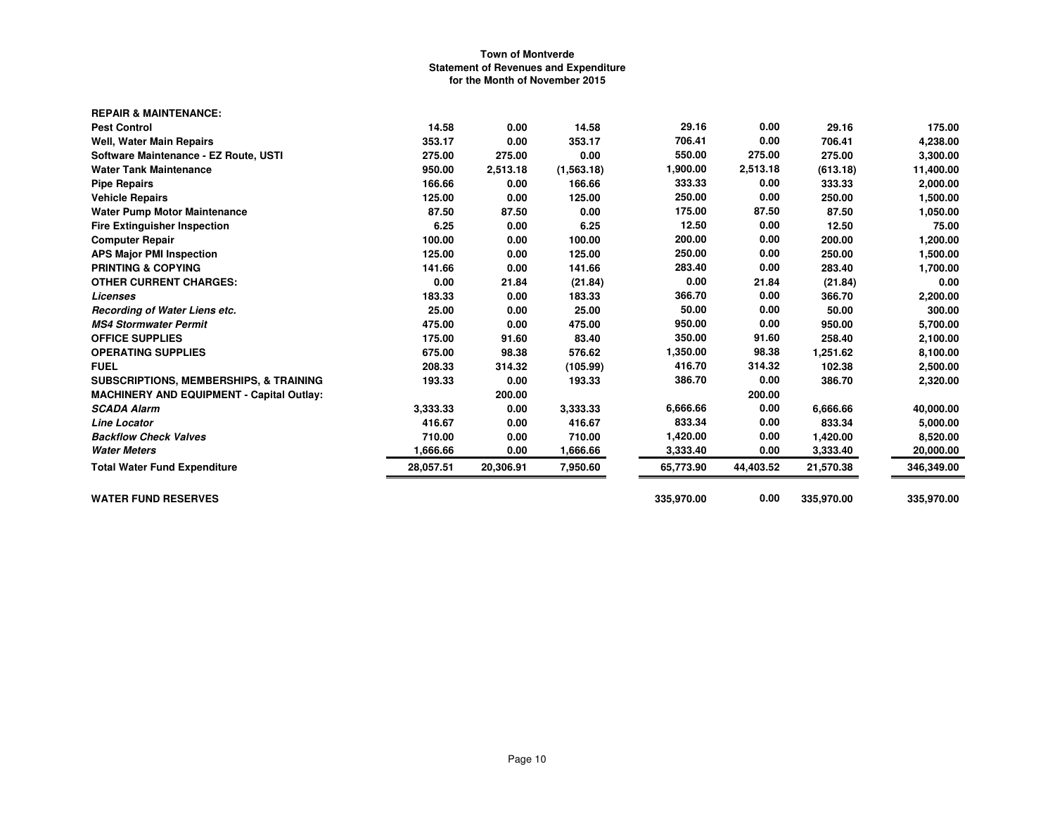| 14.58     | 0.00      | 14.58      | 29.16      | 0.00      | 29.16      | 175.00     |
|-----------|-----------|------------|------------|-----------|------------|------------|
| 353.17    | 0.00      | 353.17     | 706.41     | 0.00      | 706.41     | 4,238.00   |
| 275.00    | 275.00    | 0.00       | 550.00     | 275.00    | 275.00     | 3,300.00   |
| 950.00    | 2,513.18  | (1,563.18) | 1,900.00   | 2,513.18  | (613.18)   | 11,400.00  |
| 166.66    | 0.00      | 166.66     | 333.33     | 0.00      | 333.33     | 2,000.00   |
| 125.00    | 0.00      | 125.00     | 250.00     | 0.00      | 250.00     | 1,500.00   |
| 87.50     | 87.50     | 0.00       | 175.00     | 87.50     | 87.50      | 1,050.00   |
| 6.25      | 0.00      | 6.25       | 12.50      | 0.00      | 12.50      | 75.00      |
| 100.00    | 0.00      | 100.00     | 200.00     | 0.00      | 200.00     | 1,200.00   |
| 125.00    | 0.00      | 125.00     | 250.00     | 0.00      | 250.00     | 1,500.00   |
| 141.66    | 0.00      | 141.66     | 283.40     | 0.00      | 283.40     | 1,700.00   |
| 0.00      | 21.84     | (21.84)    | 0.00       | 21.84     | (21.84)    | 0.00       |
| 183.33    | 0.00      | 183.33     | 366.70     | 0.00      | 366.70     | 2,200.00   |
| 25.00     | 0.00      | 25.00      | 50.00      | 0.00      | 50.00      | 300.00     |
| 475.00    | 0.00      | 475.00     | 950.00     | 0.00      | 950.00     | 5,700.00   |
| 175.00    | 91.60     | 83.40      | 350.00     | 91.60     | 258.40     | 2,100.00   |
| 675.00    | 98.38     | 576.62     | 1,350.00   | 98.38     | 1,251.62   | 8,100.00   |
| 208.33    | 314.32    | (105.99)   | 416.70     | 314.32    | 102.38     | 2,500.00   |
| 193.33    | 0.00      | 193.33     | 386.70     | 0.00      | 386.70     | 2,320.00   |
|           | 200.00    |            |            | 200.00    |            |            |
| 3,333.33  | 0.00      | 3,333.33   | 6,666.66   | 0.00      | 6,666.66   | 40,000.00  |
| 416.67    | 0.00      | 416.67     | 833.34     | 0.00      | 833.34     | 5,000.00   |
| 710.00    | 0.00      | 710.00     | 1,420.00   | 0.00      | 1,420.00   | 8,520.00   |
| 1,666.66  | 0.00      | 1,666.66   | 3,333.40   | 0.00      | 3,333.40   | 20,000.00  |
| 28,057.51 | 20,306.91 | 7,950.60   | 65,773.90  | 44,403.52 | 21,570.38  | 346,349.00 |
|           |           |            | 335,970.00 | 0.00      | 335,970.00 | 335,970.00 |
|           |           |            |            |           |            |            |